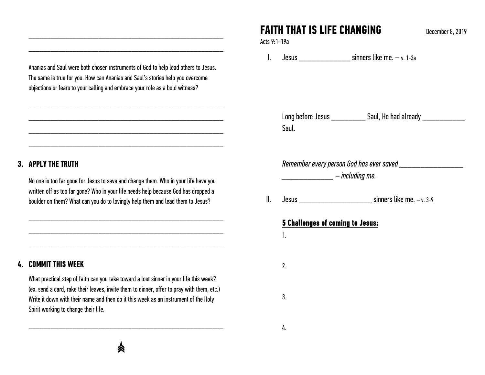# **FAITH THAT IS LIFE CHANGING** December 8, 2019

Acts 9:1-19a

I.Jesus \_\_\_\_\_\_\_\_\_\_\_\_ sinners like me. – v. 1-3a

Long before Jesus \_\_\_\_\_\_\_\_\_\_\_\_ Saul, He had already \_\_\_\_\_\_\_\_\_\_\_\_\_ Saul.

*Remember every person God has ever saved \_\_\_\_\_\_\_\_\_\_\_\_\_\_\_* 

*\_\_\_\_\_\_\_\_\_\_\_\_ – including me.* 

II. $Jesus$  sinners like me.  $-v. 3-9$ 

#### **5 Challenges of coming to Jesus:**

1.

2.

3.

4.

Ananias and Saul were both chosen instruments of God to help lead others to Jesus. The same is true for you. How can Ananias and Saul's stories help you overcome objections or fears to your calling and embrace your role as a bold witness?

\_\_\_\_\_\_\_\_\_\_\_\_\_\_\_\_\_\_\_\_\_\_\_\_\_\_\_\_\_\_\_\_\_\_\_\_\_\_\_\_\_\_\_\_\_\_\_\_\_\_\_\_\_

\_\_\_\_\_\_\_\_\_\_\_\_\_\_\_\_\_\_\_\_\_\_\_\_\_\_\_\_\_\_\_\_\_\_\_\_\_\_\_\_\_\_\_\_\_\_\_\_\_\_\_\_\_

\_\_\_\_\_\_\_\_\_\_\_\_\_\_\_\_\_\_\_\_\_\_\_\_\_\_\_\_\_\_\_\_\_\_\_\_\_\_\_\_\_\_\_\_\_\_\_\_\_\_\_\_\_

\_\_\_\_\_\_\_\_\_\_\_\_\_\_\_\_\_\_\_\_\_\_\_\_\_\_\_\_\_\_\_\_\_\_\_\_\_\_\_\_\_\_\_\_\_\_\_\_\_\_\_\_\_

\_\_\_\_\_\_\_\_\_\_\_\_\_\_\_\_\_\_\_\_\_\_\_\_\_\_\_\_\_\_\_\_\_\_\_\_\_\_\_\_\_\_\_\_\_\_\_\_\_\_\_\_\_

### **3. APPLY THE TRUTH**

No one is too far gone for Jesus to save and change them. Who in your life have you written off as too far gone? Who in your life needs help because God has dropped a boulder on them? What can you do to lovingly help them and lead them to Jesus?

\_\_\_\_\_\_\_\_\_\_\_\_\_\_\_\_\_\_\_\_\_\_\_\_\_\_\_\_\_\_\_\_\_\_\_\_\_\_\_\_\_\_\_\_\_\_\_\_\_\_\_\_\_

\_\_\_\_\_\_\_\_\_\_\_\_\_\_\_\_\_\_\_\_\_\_\_\_\_\_\_\_\_\_\_\_\_\_\_\_\_\_\_\_\_\_\_\_\_\_\_\_\_\_\_\_\_

### **4. COMMIT THIS WEEK**

What practical step of faith can you take toward a lost sinner in your life this week? (ex. send a card, rake their leaves, invite them to dinner, offer to pray with them, etc.) Write it down with their name and then do it this week as an instrument of the Holy Spirit working to change their life.

\_\_\_\_\_\_\_\_\_\_\_\_\_\_\_\_\_\_\_\_\_\_\_\_\_\_\_\_\_\_\_\_\_\_\_\_\_\_\_\_\_\_\_\_\_\_\_\_\_\_\_\_\_